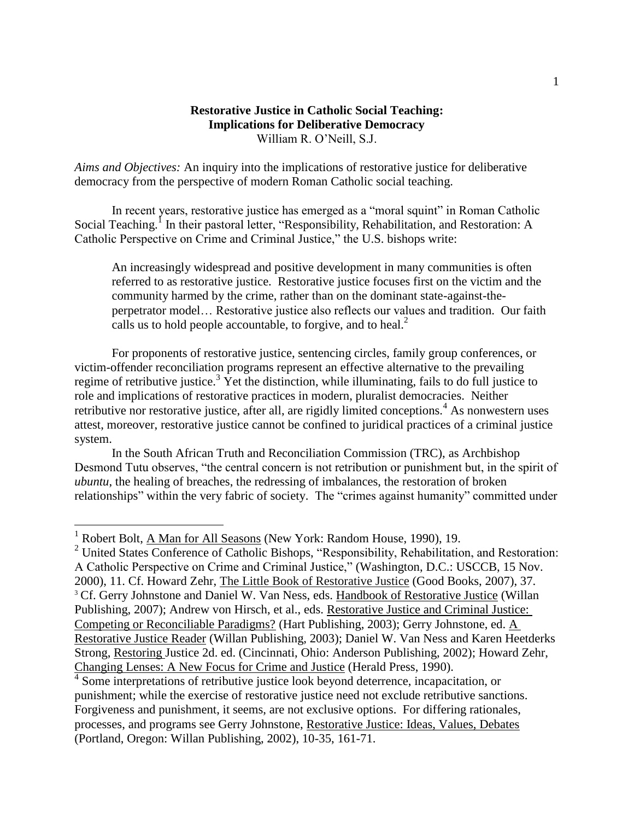## **Restorative Justice in Catholic Social Teaching: Implications for Deliberative Democracy** William R. O'Neill, S.J.

*Aims and Objectives:* An inquiry into the implications of restorative justice for deliberative democracy from the perspective of modern Roman Catholic social teaching.

In recent years, restorative justice has emerged as a "moral squint" in Roman Catholic Social Teaching.<sup>1</sup> In their pastoral letter, "Responsibility, Rehabilitation, and Restoration: A Catholic Perspective on Crime and Criminal Justice," the U.S. bishops write:

An increasingly widespread and positive development in many communities is often referred to as restorative justice. Restorative justice focuses first on the victim and the community harmed by the crime, rather than on the dominant state-against-theperpetrator model… Restorative justice also reflects our values and tradition. Our faith calls us to hold people accountable, to forgive, and to heal. $<sup>2</sup>$ </sup>

For proponents of restorative justice, sentencing circles, family group conferences, or victim-offender reconciliation programs represent an effective alternative to the prevailing regime of retributive justice.<sup>3</sup> Yet the distinction, while illuminating, fails to do full justice to role and implications of restorative practices in modern, pluralist democracies. Neither retributive nor restorative justice, after all, are rigidly limited conceptions.<sup>4</sup> As nonwestern uses attest, moreover, restorative justice cannot be confined to juridical practices of a criminal justice system.

In the South African Truth and Reconciliation Commission (TRC), as Archbishop Desmond Tutu observes, "the central concern is not retribution or punishment but, in the spirit of *ubuntu*, the healing of breaches, the redressing of imbalances, the restoration of broken relationships" within the very fabric of society. The "crimes against humanity" committed under

 $\overline{a}$ 

<sup>4</sup> Some interpretations of retributive justice look beyond deterrence, incapacitation, or punishment; while the exercise of restorative justice need not exclude retributive sanctions. Forgiveness and punishment, it seems, are not exclusive options. For differing rationales, processes, and programs see Gerry Johnstone, Restorative Justice: Ideas, Values, Debates (Portland, Oregon: Willan Publishing, 2002), 10-35, 161-71.

<sup>&</sup>lt;sup>1</sup> Robert Bolt, A Man for All Seasons (New York: Random House, 1990), 19.

<sup>&</sup>lt;sup>2</sup> United States Conference of Catholic Bishops, "Responsibility, Rehabilitation, and Restoration: A Catholic Perspective on Crime and Criminal Justice," (Washington, D.C.: USCCB, 15 Nov. 2000), 11. Cf. Howard Zehr, The Little Book of Restorative Justice (Good Books, 2007), 37. <sup>3</sup> Cf. Gerry Johnstone and Daniel W. Van Ness, eds. Handbook of Restorative Justice (Willan Publishing, 2007); Andrew von Hirsch, et al., eds. Restorative Justice and Criminal Justice: Competing or Reconciliable Paradigms? (Hart Publishing, 2003); Gerry Johnstone, ed. A Restorative Justice Reader (Willan Publishing, 2003); Daniel W. Van Ness and Karen Heetderks Strong, Restoring Justice 2d. ed. (Cincinnati, Ohio: Anderson Publishing, 2002); Howard Zehr, Changing Lenses: A New Focus for Crime and Justice (Herald Press, 1990).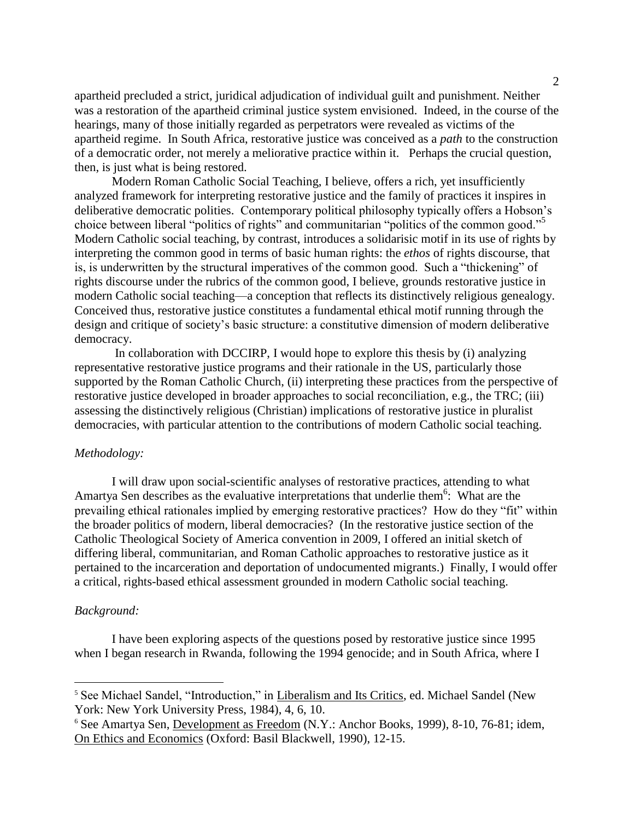apartheid precluded a strict, juridical adjudication of individual guilt and punishment. Neither was a restoration of the apartheid criminal justice system envisioned. Indeed, in the course of the hearings, many of those initially regarded as perpetrators were revealed as victims of the apartheid regime. In South Africa, restorative justice was conceived as a *path* to the construction of a democratic order, not merely a meliorative practice within it. Perhaps the crucial question, then, is just what is being restored.

Modern Roman Catholic Social Teaching, I believe, offers a rich, yet insufficiently analyzed framework for interpreting restorative justice and the family of practices it inspires in deliberative democratic polities. Contemporary political philosophy typically offers a Hobson's choice between liberal "politics of rights" and communitarian "politics of the common good."<sup>5</sup> Modern Catholic social teaching, by contrast, introduces a solidarisic motif in its use of rights by interpreting the common good in terms of basic human rights: the *ethos* of rights discourse, that is, is underwritten by the structural imperatives of the common good. Such a "thickening" of rights discourse under the rubrics of the common good, I believe, grounds restorative justice in modern Catholic social teaching—a conception that reflects its distinctively religious genealogy. Conceived thus, restorative justice constitutes a fundamental ethical motif running through the design and critique of society's basic structure: a constitutive dimension of modern deliberative democracy.

In collaboration with DCCIRP, I would hope to explore this thesis by (i) analyzing representative restorative justice programs and their rationale in the US, particularly those supported by the Roman Catholic Church, (ii) interpreting these practices from the perspective of restorative justice developed in broader approaches to social reconciliation, e.g., the TRC; (iii) assessing the distinctively religious (Christian) implications of restorative justice in pluralist democracies, with particular attention to the contributions of modern Catholic social teaching.

### *Methodology:*

I will draw upon social-scientific analyses of restorative practices, attending to what Amartya Sen describes as the evaluative interpretations that underlie them<sup>6</sup>: What are the prevailing ethical rationales implied by emerging restorative practices? How do they "fit" within the broader politics of modern, liberal democracies? (In the restorative justice section of the Catholic Theological Society of America convention in 2009, I offered an initial sketch of differing liberal, communitarian, and Roman Catholic approaches to restorative justice as it pertained to the incarceration and deportation of undocumented migrants.) Finally, I would offer a critical, rights-based ethical assessment grounded in modern Catholic social teaching.

#### *Background:*

 $\overline{a}$ 

I have been exploring aspects of the questions posed by restorative justice since 1995 when I began research in Rwanda, following the 1994 genocide; and in South Africa, where I

<sup>&</sup>lt;sup>5</sup> See Michael Sandel, "Introduction," in Liberalism and Its Critics, ed. Michael Sandel (New York: New York University Press, 1984), 4, 6, 10.

<sup>6</sup> See Amartya Sen, Development as Freedom (N.Y.: Anchor Books, 1999), 8-10, 76-81; idem, On Ethics and Economics (Oxford: Basil Blackwell, 1990), 12-15.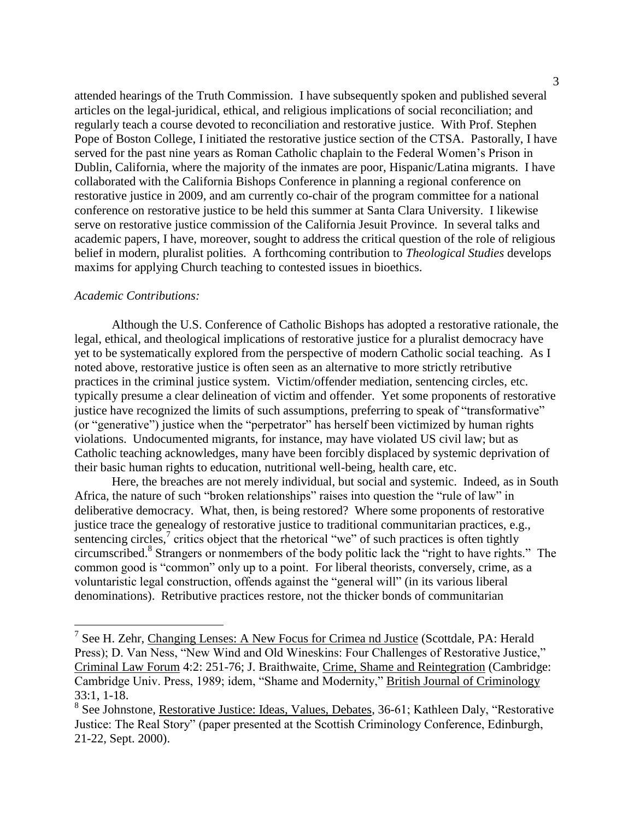attended hearings of the Truth Commission. I have subsequently spoken and published several articles on the legal-juridical, ethical, and religious implications of social reconciliation; and regularly teach a course devoted to reconciliation and restorative justice. With Prof. Stephen Pope of Boston College, I initiated the restorative justice section of the CTSA. Pastorally, I have served for the past nine years as Roman Catholic chaplain to the Federal Women's Prison in Dublin, California, where the majority of the inmates are poor, Hispanic/Latina migrants. I have collaborated with the California Bishops Conference in planning a regional conference on restorative justice in 2009, and am currently co-chair of the program committee for a national conference on restorative justice to be held this summer at Santa Clara University. I likewise serve on restorative justice commission of the California Jesuit Province. In several talks and academic papers, I have, moreover, sought to address the critical question of the role of religious belief in modern, pluralist polities. A forthcoming contribution to *Theological Studies* develops maxims for applying Church teaching to contested issues in bioethics.

#### *Academic Contributions:*

 $\overline{a}$ 

Although the U.S. Conference of Catholic Bishops has adopted a restorative rationale, the legal, ethical, and theological implications of restorative justice for a pluralist democracy have yet to be systematically explored from the perspective of modern Catholic social teaching. As I noted above, restorative justice is often seen as an alternative to more strictly retributive practices in the criminal justice system. Victim/offender mediation, sentencing circles, etc. typically presume a clear delineation of victim and offender. Yet some proponents of restorative justice have recognized the limits of such assumptions, preferring to speak of "transformative" (or "generative") justice when the "perpetrator" has herself been victimized by human rights violations. Undocumented migrants, for instance, may have violated US civil law; but as Catholic teaching acknowledges, many have been forcibly displaced by systemic deprivation of their basic human rights to education, nutritional well-being, health care, etc.

Here, the breaches are not merely individual, but social and systemic. Indeed, as in South Africa, the nature of such "broken relationships" raises into question the "rule of law" in deliberative democracy. What, then, is being restored? Where some proponents of restorative justice trace the genealogy of restorative justice to traditional communitarian practices, e.g., sentencing circles, $\frac{7}{7}$  critics object that the rhetorical "we" of such practices is often tightly circumscribed.<sup>8</sup> Strangers or nonmembers of the body politic lack the "right to have rights." The common good is "common" only up to a point. For liberal theorists, conversely, crime, as a voluntaristic legal construction, offends against the "general will" (in its various liberal denominations). Retributive practices restore, not the thicker bonds of communitarian

<sup>&</sup>lt;sup>7</sup> See H. Zehr, Changing Lenses: A New Focus for Crimea nd Justice (Scottdale, PA: Herald Press); D. Van Ness, "New Wind and Old Wineskins: Four Challenges of Restorative Justice," Criminal Law Forum 4:2: 251-76; J. Braithwaite, Crime, Shame and Reintegration (Cambridge: Cambridge Univ. Press, 1989; idem, "Shame and Modernity," British Journal of Criminology 33:1, 1-18.

<sup>&</sup>lt;sup>8</sup> See Johnstone, Restorative Justice: Ideas, Values, Debates, 36-61; Kathleen Daly, "Restorative Justice: The Real Story" (paper presented at the Scottish Criminology Conference, Edinburgh, 21-22, Sept. 2000).